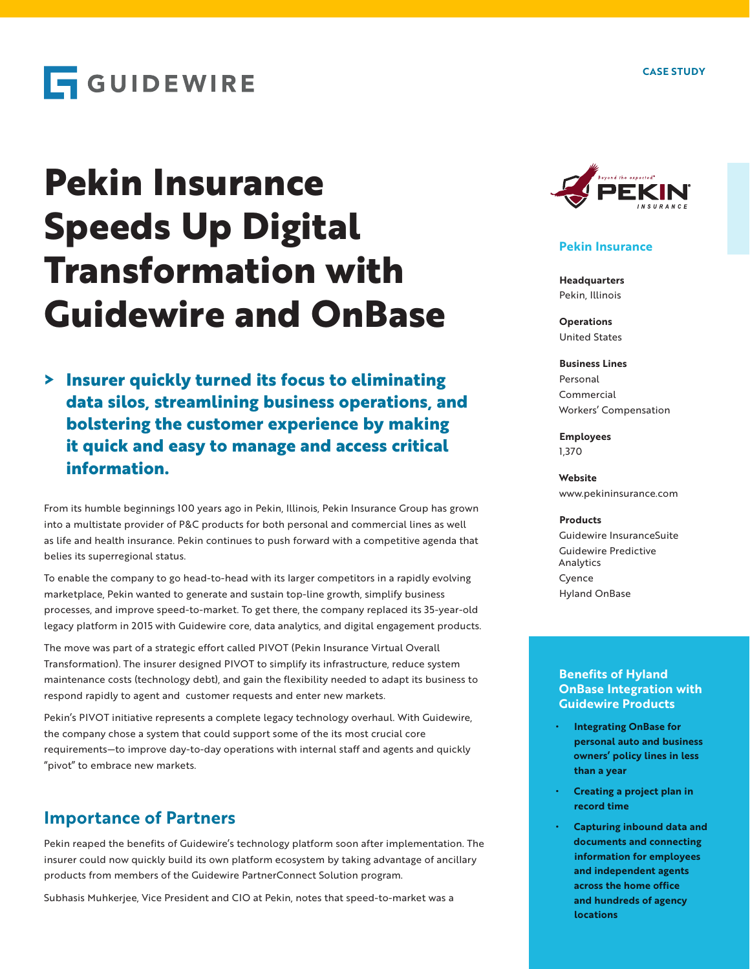# **GUIDEWIRE**

# **Pekin Insurance Speeds Up Digital Transformation with Guidewire and OnBase**

**> Insurer quickly turned its focus to eliminating data silos, streamlining business operations, and bolstering the customer experience by making it quick and easy to manage and access critical information.**

From its humble beginnings 100 years ago in Pekin, Illinois, Pekin Insurance Group has grown into a multistate provider of P&C products for both personal and commercial lines as well as life and health insurance. Pekin continues to push forward with a competitive agenda that belies its superregional status.

To enable the company to go head-to-head with its larger competitors in a rapidly evolving marketplace, Pekin wanted to generate and sustain top-line growth, simplify business processes, and improve speed-to-market. To get there, the company replaced its 35-year-old legacy platform in 2015 with Guidewire core, data analytics, and digital engagement products.

The move was part of a strategic effort called PIVOT (Pekin Insurance Virtual Overall Transformation). The insurer designed PIVOT to simplify its infrastructure, reduce system maintenance costs (technology debt), and gain the flexibility needed to adapt its business to respond rapidly to agent and customer requests and enter new markets.

Pekin's PIVOT initiative represents a complete legacy technology overhaul. With Guidewire, the company chose a system that could support some of the its most crucial core requirements—to improve day-to-day operations with internal staff and agents and quickly "pivot" to embrace new markets.

### **Importance of Partners**

Pekin reaped the benefits of Guidewire's technology platform soon after implementation. The insurer could now quickly build its own platform ecosystem by taking advantage of ancillary products from members of the Guidewire PartnerConnect Solution program.

Subhasis Muhkerjee, Vice President and CIO at Pekin, notes that speed-to-market was a



#### **Pekin Insurance**

**Headquarters** Pekin, Illinois

**Operations** United States

#### **Business Lines** Personal Commercial Workers' Compensation

**Employees** 1,370

**Website** www.pekininsurance.com

#### **Products**

Guidewire InsuranceSuite Guidewire Predictive Analytics Cyence Hyland OnBase

#### **Benefits of Hyland OnBase Integration with Guidewire Products**

- **• Integrating OnBase for personal auto and business owners' policy lines in less than a year**
- **• Creating a project plan in record time**
- **• Capturing inbound data and documents and connecting information for employees and independent agents across the home office and hundreds of agency locations**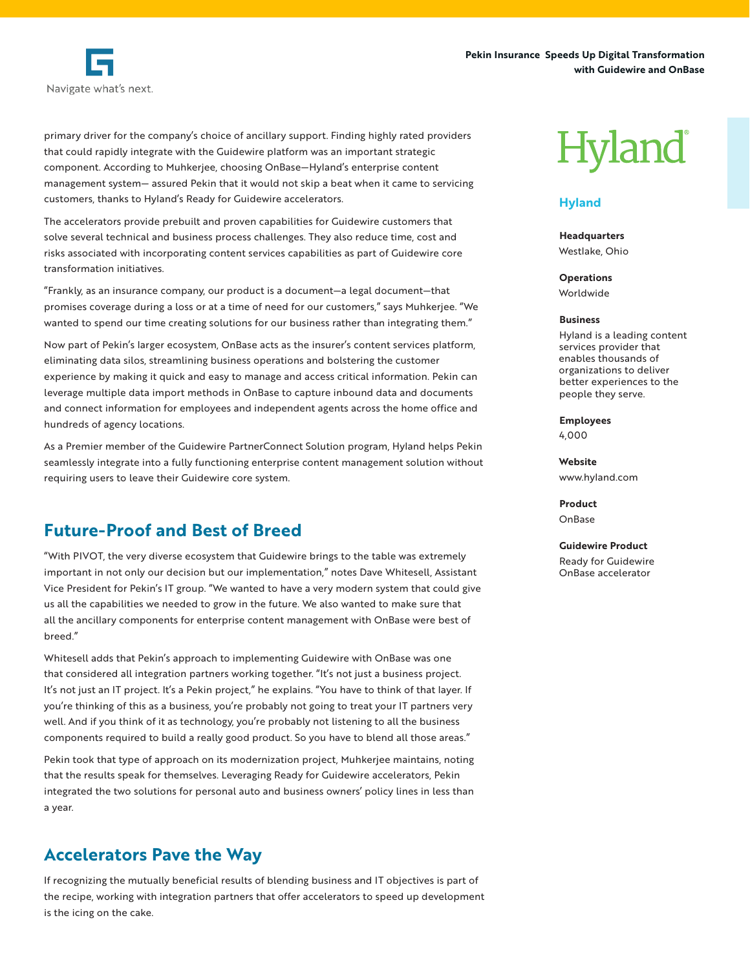



primary driver for the company's choice of ancillary support. Finding highly rated providers that could rapidly integrate with the Guidewire platform was an important strategic component. According to Muhkerjee, choosing OnBase—Hyland's enterprise content management system— assured Pekin that it would not skip a beat when it came to servicing customers, thanks to Hyland's Ready for Guidewire accelerators.

The accelerators provide prebuilt and proven capabilities for Guidewire customers that solve several technical and business process challenges. They also reduce time, cost and risks associated with incorporating content services capabilities as part of Guidewire core transformation initiatives.

"Frankly, as an insurance company, our product is a document—a legal document—that promises coverage during a loss or at a time of need for our customers," says Muhkerjee. "We wanted to spend our time creating solutions for our business rather than integrating them."

Now part of Pekin's larger ecosystem, OnBase acts as the insurer's content services platform, eliminating data silos, streamlining business operations and bolstering the customer experience by making it quick and easy to manage and access critical information. Pekin can leverage multiple data import methods in OnBase to capture inbound data and documents and connect information for employees and independent agents across the home office and hundreds of agency locations.

As a Premier member of the Guidewire PartnerConnect Solution program, Hyland helps Pekin seamlessly integrate into a fully functioning enterprise content management solution without requiring users to leave their Guidewire core system.

## **Future-Proof and Best of Breed**

"With PIVOT, the very diverse ecosystem that Guidewire brings to the table was extremely important in not only our decision but our implementation," notes Dave Whitesell, Assistant Vice President for Pekin's IT group. "We wanted to have a very modern system that could give us all the capabilities we needed to grow in the future. We also wanted to make sure that all the ancillary components for enterprise content management with OnBase were best of breed."

Whitesell adds that Pekin's approach to implementing Guidewire with OnBase was one that considered all integration partners working together. "It's not just a business project. It's not just an IT project. It's a Pekin project," he explains. "You have to think of that layer. If you're thinking of this as a business, you're probably not going to treat your IT partners very well. And if you think of it as technology, you're probably not listening to all the business components required to build a really good product. So you have to blend all those areas."

Pekin took that type of approach on its modernization project, Muhkerjee maintains, noting that the results speak for themselves. Leveraging Ready for Guidewire accelerators, Pekin integrated the two solutions for personal auto and business owners' policy lines in less than a year.

## **Accelerators Pave the Way**

If recognizing the mutually beneficial results of blending business and IT objectives is part of the recipe, working with integration partners that offer accelerators to speed up development is the icing on the cake.

# **Hyland**

#### **Hyland**

**Headquarters** Westlake, Ohio

**Operations** Worldwide

#### **Business**

Hyland is a leading content services provider that enables thousands of organizations to deliver better experiences to the people they serve.

**Employees** 4,000

**Website** www.hyland.com

**Product** OnBase

**Guidewire Product** Ready for Guidewire OnBase accelerator